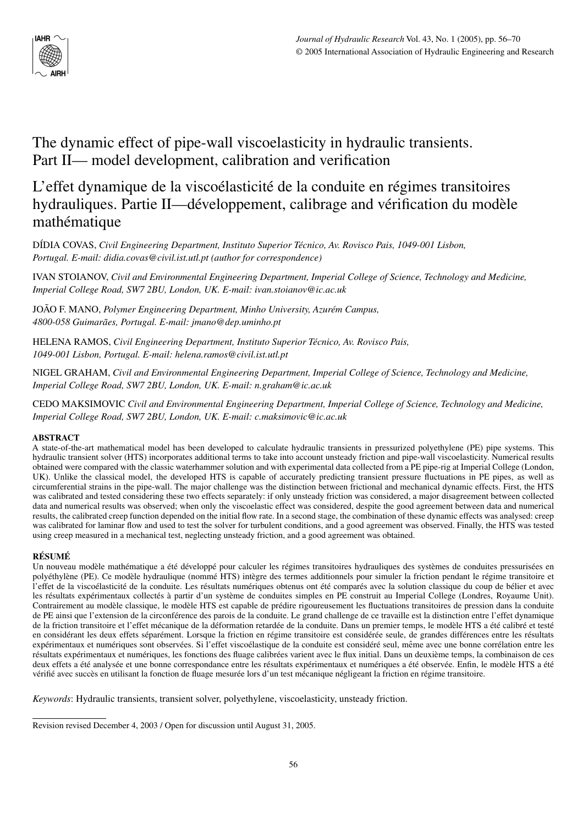

The dynamic effect of pipe-wall viscoelasticity in hydraulic transients. Part II— model development, calibration and verification

# L'effet dynamique de la viscoélasticité de la conduite en régimes transitoires hydrauliques. Partie II—développement, calibrage and vérification du modèle mathématique

DÍDIA COVAS, *Civil Engineering Department, Instituto Superior Técnico, Av. Rovisco Pais, 1049-001 Lisbon, Portugal. E-mail: didia.covas@civil.ist.utl.pt (author for correspondence)*

IVAN STOIANOV, *Civil and Environmental Engineering Department, Imperial College of Science, Technology and Medicine, Imperial College Road, SW7 2BU, London, UK. E-mail: ivan.stoianov@ic.ac.uk*

JOÃO F. MANO, *Polymer Engineering Department, Minho University, Azurém Campus, 4800-058 Guimarães, Portugal. E-mail: jmano@dep.uminho.pt*

HELENA RAMOS, *Civil Engineering Department, Instituto Superior Técnico, Av. Rovisco Pais, 1049-001 Lisbon, Portugal. E-mail: helena.ramos@civil.ist.utl.pt*

NIGEL GRAHAM, *Civil and Environmental Engineering Department, Imperial College of Science, Technology and Medicine, Imperial College Road, SW7 2BU, London, UK. E-mail: n.graham@ic.ac.uk*

CEDO MAKSIMOVIC *Civil and Environmental Engineering Department, Imperial College of Science, Technology and Medicine, Imperial College Road, SW7 2BU, London, UK. E-mail: c.maksimovic@ic.ac.uk*

# **ABSTRACT**

A state-of-the-art mathematical model has been developed to calculate hydraulic transients in pressurized polyethylene (PE) pipe systems. This hydraulic transient solver (HTS) incorporates additional terms to take into account unsteady friction and pipe-wall viscoelasticity. Numerical results obtained were compared with the classic waterhammer solution and with experimental data collected from a PE pipe-rig at Imperial College (London, UK). Unlike the classical model, the developed HTS is capable of accurately predicting transient pressure fluctuations in PE pipes, as well as circumferential strains in the pipe-wall. The major challenge was the distinction between frictional and mechanical dynamic effects. First, the HTS was calibrated and tested considering these two effects separately: if only unsteady friction was considered, a major disagreement between collected data and numerical results was observed; when only the viscoelastic effect was considered, despite the good agreement between data and numerical results, the calibrated creep function depended on the initial flow rate. In a second stage, the combination of these dynamic effects was analysed: creep was calibrated for laminar flow and used to test the solver for turbulent conditions, and a good agreement was observed. Finally, the HTS was tested using creep measured in a mechanical test, neglecting unsteady friction, and a good agreement was obtained.

# **RÉSUMÉ**

Un nouveau modèle mathématique a été développé pour calculer les régimes transitoires hydrauliques des systèmes de conduites pressurisées en polyéthylène (PE). Ce modèle hydraulique (nommé HTS) intègre des termes additionnels pour simuler la friction pendant le régime transitoire et l'effet de la viscoélasticité de la conduite. Les résultats numériques obtenus ont été comparés avec la solution classique du coup de bélier et avec les résultats expérimentaux collectés à partir d'un système de conduites simples en PE construit au Imperial College (Londres, Royaume Unit). Contrairement au modèle classique, le modèle HTS est capable de prédire rigoureusement les fluctuations transitoires de pression dans la conduite de PE ainsi que l'extension de la circonférence des parois de la conduite. Le grand challenge de ce travaille est la distinction entre l'effet dynamique de la friction transitoire et l'effet mécanique de la déformation retardée de la conduite. Dans un premier temps, le modèle HTS a été calibré et testé en considérant les deux effets séparément. Lorsque la friction en régime transitoire est considérée seule, de grandes différences entre les résultats expérimentaux et numériques sont observées. Si l'effet viscoélastique de la conduite est considéré seul, même avec une bonne corrélation entre les résultats expérimentaux et numériques, les fonctions des fluage calibrées varient avec le flux initial. Dans un deuxième temps, la combinaison de ces deux effets a été analysée et une bonne correspondance entre les résultats expérimentaux et numériques a été observée. Enfin, le modèle HTS a été vérifié avec succès en utilisant la fonction de fluage mesurée lors d'un test mécanique négligeant la friction en régime transitoire.

*Keywords*: Hydraulic transients, transient solver, polyethylene, viscoelasticity, unsteady friction.

Revision revised December 4, 2003 / Open for discussion until August 31, 2005.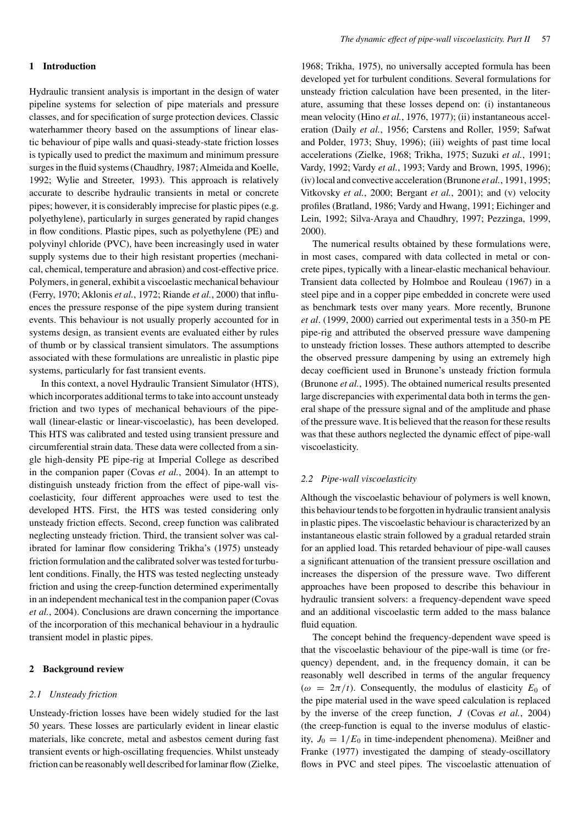#### **1 Introduction**

Hydraulic transient analysis is important in the design of water pipeline systems for selection of pipe materials and pressure classes, and for specification of surge protection devices. Classic waterhammer theory based on the assumptions of linear elastic behaviour of pipe walls and quasi-steady-state friction losses is typically used to predict the maximum and minimum pressure surges in the fluid systems (Chaudhry, 1987; Almeida and Koelle, 1992; Wylie and Streeter, 1993). This approach is relatively accurate to describe hydraulic transients in metal or concrete pipes; however, it is considerably imprecise for plastic pipes (e.g. polyethylene), particularly in surges generated by rapid changes in flow conditions. Plastic pipes, such as polyethylene (PE) and polyvinyl chloride (PVC), have been increasingly used in water supply systems due to their high resistant properties (mechanical, chemical, temperature and abrasion) and cost-effective price. Polymers, in general, exhibit a viscoelastic mechanical behaviour (Ferry, 1970; Aklonis *et al.*, 1972; Riande *et al.*, 2000) that influences the pressure response of the pipe system during transient events. This behaviour is not usually properly accounted for in systems design, as transient events are evaluated either by rules of thumb or by classical transient simulators. The assumptions associated with these formulations are unrealistic in plastic pipe systems, particularly for fast transient events.

In this context, a novel Hydraulic Transient Simulator (HTS), which incorporates additional terms to take into account unsteady friction and two types of mechanical behaviours of the pipewall (linear-elastic or linear-viscoelastic), has been developed. This HTS was calibrated and tested using transient pressure and circumferential strain data. These data were collected from a single high-density PE pipe-rig at Imperial College as described in the companion paper (Covas *et al.*, 2004). In an attempt to distinguish unsteady friction from the effect of pipe-wall viscoelasticity, four different approaches were used to test the developed HTS. First, the HTS was tested considering only unsteady friction effects. Second, creep function was calibrated neglecting unsteady friction. Third, the transient solver was calibrated for laminar flow considering Trikha's (1975) unsteady friction formulation and the calibrated solver was tested for turbulent conditions. Finally, the HTS was tested neglecting unsteady friction and using the creep-function determined experimentally in an independent mechanical test in the companion paper (Covas *et al.*, 2004). Conclusions are drawn concerning the importance of the incorporation of this mechanical behaviour in a hydraulic transient model in plastic pipes.

# **2 Background review**

#### *2.1 Unsteady friction*

Unsteady-friction losses have been widely studied for the last 50 years. These losses are particularly evident in linear elastic materials, like concrete, metal and asbestos cement during fast transient events or high-oscillating frequencies. Whilst unsteady friction can be reasonably well described for laminar flow (Zielke,

1968; Trikha, 1975), no universally accepted formula has been developed yet for turbulent conditions. Several formulations for unsteady friction calculation have been presented, in the literature, assuming that these losses depend on: (i) instantaneous mean velocity (Hino *et al.*, 1976, 1977); (ii) instantaneous acceleration (Daily *et al.*, 1956; Carstens and Roller, 1959; Safwat and Polder, 1973; Shuy, 1996); (iii) weights of past time local accelerations (Zielke, 1968; Trikha, 1975; Suzuki *et al.*, 1991; Vardy, 1992; Vardy *et al.*, 1993; Vardy and Brown, 1995, 1996); (iv) local and convective acceleration (Brunone *et al.*, 1991, 1995; Vitkovsky *et al.*, 2000; Bergant *et al.*, 2001); and (v) velocity profiles (Bratland, 1986; Vardy and Hwang, 1991; Eichinger and Lein, 1992; Silva-Araya and Chaudhry, 1997; Pezzinga, 1999, 2000).

The numerical results obtained by these formulations were, in most cases, compared with data collected in metal or concrete pipes, typically with a linear-elastic mechanical behaviour. Transient data collected by Holmboe and Rouleau (1967) in a steel pipe and in a copper pipe embedded in concrete were used as benchmark tests over many years. More recently, Brunone *et al*. (1999, 2000) carried out experimental tests in a 350-m PE pipe-rig and attributed the observed pressure wave dampening to unsteady friction losses. These authors attempted to describe the observed pressure dampening by using an extremely high decay coefficient used in Brunone's unsteady friction formula (Brunone *et al.*, 1995). The obtained numerical results presented large discrepancies with experimental data both in terms the general shape of the pressure signal and of the amplitude and phase of the pressure wave. It is believed that the reason for these results was that these authors neglected the dynamic effect of pipe-wall viscoelasticity.

# *2.2 Pipe-wall viscoelasticity*

Although the viscoelastic behaviour of polymers is well known, this behaviour tends to be forgotten in hydraulic transient analysis in plastic pipes. The viscoelastic behaviour is characterized by an instantaneous elastic strain followed by a gradual retarded strain for an applied load. This retarded behaviour of pipe-wall causes a significant attenuation of the transient pressure oscillation and increases the dispersion of the pressure wave. Two different approaches have been proposed to describe this behaviour in hydraulic transient solvers: a frequency-dependent wave speed and an additional viscoelastic term added to the mass balance fluid equation.

The concept behind the frequency-dependent wave speed is that the viscoelastic behaviour of the pipe-wall is time (or frequency) dependent, and, in the frequency domain, it can be reasonably well described in terms of the angular frequency  $(\omega = 2\pi/t)$ . Consequently, the modulus of elasticity  $E_0$  of the pipe material used in the wave speed calculation is replaced by the inverse of the creep function, J (Covas *et al.*, 2004) (the creep-function is equal to the inverse modulus of elasticity,  $J_0 = 1/E_0$  in time-independent phenomena). Meißner and Franke (1977) investigated the damping of steady-oscillatory flows in PVC and steel pipes. The viscoelastic attenuation of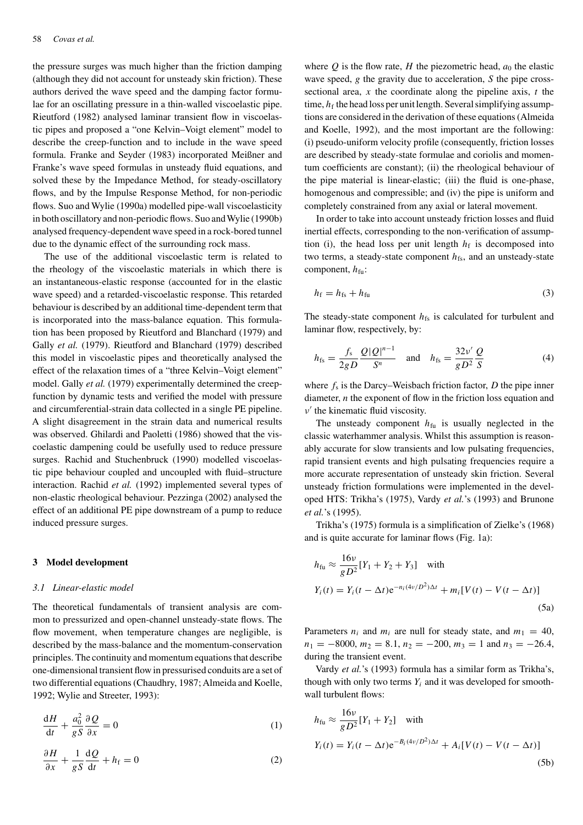the pressure surges was much higher than the friction damping (although they did not account for unsteady skin friction). These authors derived the wave speed and the damping factor formulae for an oscillating pressure in a thin-walled viscoelastic pipe. Rieutford (1982) analysed laminar transient flow in viscoelastic pipes and proposed a "one Kelvin–Voigt element" model to describe the creep-function and to include in the wave speed formula. Franke and Seyder (1983) incorporated Meißner and Franke's wave speed formulas in unsteady fluid equations, and solved these by the Impedance Method, for steady-oscillatory flows, and by the Impulse Response Method, for non-periodic flows. Suo and Wylie (1990a) modelled pipe-wall viscoelasticity in both oscillatory and non-periodic flows. Suo and Wylie (1990b) analysed frequency-dependent wave speed in a rock-bored tunnel due to the dynamic effect of the surrounding rock mass.

The use of the additional viscoelastic term is related to the rheology of the viscoelastic materials in which there is an instantaneous-elastic response (accounted for in the elastic wave speed) and a retarded-viscoelastic response. This retarded behaviour is described by an additional time-dependent term that is incorporated into the mass-balance equation. This formulation has been proposed by Rieutford and Blanchard (1979) and Gally *et al.* (1979). Rieutford and Blanchard (1979) described this model in viscoelastic pipes and theoretically analysed the effect of the relaxation times of a "three Kelvin–Voigt element" model. Gally *et al.* (1979) experimentally determined the creepfunction by dynamic tests and verified the model with pressure and circumferential-strain data collected in a single PE pipeline. A slight disagreement in the strain data and numerical results was observed. Ghilardi and Paoletti (1986) showed that the viscoelastic dampening could be usefully used to reduce pressure surges. Rachid and Stuchenbruck (1990) modelled viscoelastic pipe behaviour coupled and uncoupled with fluid–structure interaction. Rachid *et al.* (1992) implemented several types of non-elastic rheological behaviour. Pezzinga (2002) analysed the effect of an additional PE pipe downstream of a pump to reduce induced pressure surges.

#### **3 Model development**

# *3.1 Linear-elastic model*

The theoretical fundamentals of transient analysis are common to pressurized and open-channel unsteady-state flows. The flow movement, when temperature changes are negligible, is described by the mass-balance and the momentum-conservation principles. The continuity and momentum equations that describe one-dimensional transient flow in pressurised conduits are a set of two differential equations (Chaudhry, 1987; Almeida and Koelle, 1992; Wylie and Streeter, 1993):

$$
\frac{dH}{dt} + \frac{a_0^2}{gS} \frac{\partial Q}{\partial x} = 0
$$
\n(1)

$$
\frac{\partial H}{\partial x} + \frac{1}{gS} \frac{dQ}{dt} + h_f = 0 \tag{2}
$$

where Q is the flow rate, H the piezometric head,  $a_0$  the elastic wave speed,  $g$  the gravity due to acceleration,  $S$  the pipe crosssectional area,  $x$  the coordinate along the pipeline axis,  $t$  the time,  $h_f$  the head loss per unit length. Several simplifying assumptions are considered in the derivation of these equations (Almeida and Koelle, 1992), and the most important are the following: (i) pseudo-uniform velocity profile (consequently, friction losses are described by steady-state formulae and coriolis and momentum coefficients are constant); (ii) the rheological behaviour of the pipe material is linear-elastic; (iii) the fluid is one-phase, homogenous and compressible; and (iv) the pipe is uniform and completely constrained from any axial or lateral movement.

In order to take into account unsteady friction losses and fluid inertial effects, corresponding to the non-verification of assumption (i), the head loss per unit length  $h_f$  is decomposed into two terms, a steady-state component  $h_{fs}$ , and an unsteady-state component,  $h_{\text{fu}}$ :

$$
h_{\rm f} = h_{\rm fs} + h_{\rm fu} \tag{3}
$$

The steady-state component  $h_{fs}$  is calculated for turbulent and laminar flow, respectively, by:

$$
h_{\rm fs} = \frac{f_{\rm s}}{2gD} \frac{Q|Q|^{n-1}}{S^n} \quad \text{and} \quad h_{\rm fs} = \frac{32\nu'}{gD^2} \frac{Q}{S} \tag{4}
$$

where  $f_s$  is the Darcy–Weisbach friction factor,  $D$  the pipe inner diameter, n the exponent of flow in the friction loss equation and  $\nu'$  the kinematic fluid viscosity.

The unsteady component  $h_{fu}$  is usually neglected in the classic waterhammer analysis. Whilst this assumption is reasonably accurate for slow transients and low pulsating frequencies, rapid transient events and high pulsating frequencies require a more accurate representation of unsteady skin friction. Several unsteady friction formulations were implemented in the developed HTS: Trikha's (1975), Vardy *et al.*'s (1993) and Brunone *et al.*'s (1995).

Trikha's (1975) formula is a simplification of Zielke's (1968) and is quite accurate for laminar flows (Fig. 1a):

$$
h_{\text{fu}} \approx \frac{16\nu}{gD^2} [Y_1 + Y_2 + Y_3] \quad \text{with}
$$
  
\n
$$
Y_i(t) = Y_i(t - \Delta t) e^{-n_i (4\nu/D^2)\Delta t} + m_i [V(t) - V(t - \Delta t)]
$$
\n(5a)

Parameters  $n_i$  and  $m_i$  are null for steady state, and  $m_1 = 40$ ,  $n_1 = -8000, m_2 = 8.1, n_2 = -200, m_3 = 1$  and  $n_3 = -26.4$ , during the transient event.

Vardy *et al.*'s (1993) formula has a similar form as Trikha's, though with only two terms  $Y_i$  and it was developed for smoothwall turbulent flows:

$$
h_{\text{fu}} \approx \frac{16\nu}{gD^2} [Y_1 + Y_2] \quad \text{with}
$$
\n
$$
Y_i(t) = Y_i(t - \Delta t) e^{-B_i(4\nu/D^2)\Delta t} + A_i[V(t) - V(t - \Delta t)]
$$
\n(5b)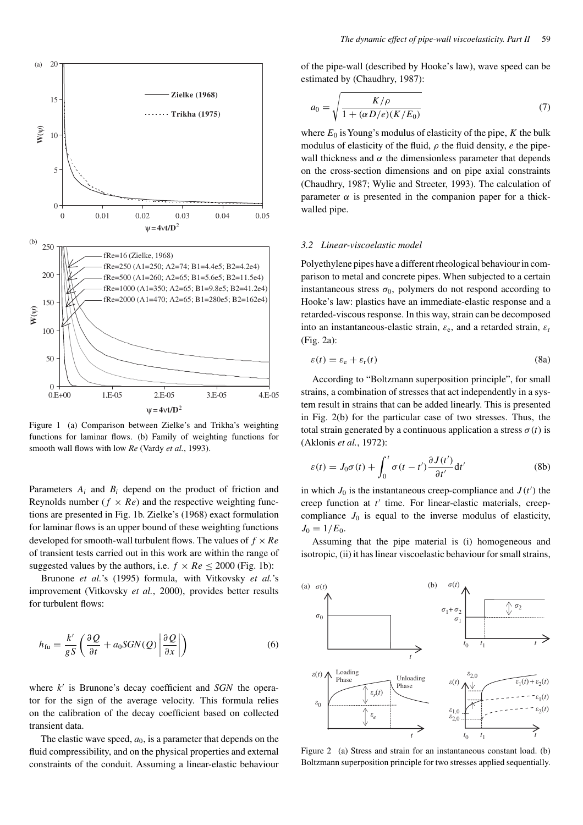

Figure 1 (a) Comparison between Zielke's and Trikha's weighting functions for laminar flows. (b) Family of weighting functions for smooth wall flows with low *Re* (Vardy *et al.*, 1993).

Parameters  $A_i$  and  $B_i$  depend on the product of friction and Reynolds number ( $f \times Re$ ) and the respective weighting functions are presented in Fig. 1b. Zielke's (1968) exact formulation for laminar flows is an upper bound of these weighting functions developed for smooth-wall turbulent flows. The values of  $f \times Re$ of transient tests carried out in this work are within the range of suggested values by the authors, i.e.  $f \times Re \leq 2000$  (Fig. 1b):

Brunone *et al.*'s (1995) formula, with Vitkovsky *et al.*'s improvement (Vitkovsky *et al.*, 2000), provides better results for turbulent flows:

$$
h_{\rm fu} = \frac{k'}{gS} \left( \frac{\partial Q}{\partial t} + a_0 SGN(Q) \left| \frac{\partial Q}{\partial x} \right| \right) \tag{6}
$$

where  $k'$  is Brunone's decay coefficient and *SGN* the operator for the sign of the average velocity. This formula relies on the calibration of the decay coefficient based on collected transient data.

The elastic wave speed,  $a_0$ , is a parameter that depends on the fluid compressibility, and on the physical properties and external constraints of the conduit. Assuming a linear-elastic behaviour of the pipe-wall (described by Hooke's law), wave speed can be estimated by (Chaudhry, 1987):

$$
a_0 = \sqrt{\frac{K/\rho}{1 + (\alpha D/e)(K/E_0)}}
$$
\n<sup>(7)</sup>

where  $E_0$  is Young's modulus of elasticity of the pipe,  $K$  the bulk modulus of elasticity of the fluid,  $\rho$  the fluid density, e the pipewall thickness and  $\alpha$  the dimensionless parameter that depends on the cross-section dimensions and on pipe axial constraints (Chaudhry, 1987; Wylie and Streeter, 1993). The calculation of parameter  $\alpha$  is presented in the companion paper for a thickwalled pipe.

#### *3.2 Linear-viscoelastic model*

Polyethylene pipes have a different rheological behaviour in comparison to metal and concrete pipes. When subjected to a certain instantaneous stress  $\sigma_0$ , polymers do not respond according to Hooke's law: plastics have an immediate-elastic response and a retarded-viscous response. In this way, strain can be decomposed into an instantaneous-elastic strain,  $\varepsilon_e$ , and a retarded strain,  $\varepsilon_r$ (Fig. 2a):

$$
\varepsilon(t) = \varepsilon_{\rm e} + \varepsilon_{\rm r}(t) \tag{8a}
$$

According to "Boltzmann superposition principle", for small strains, a combination of stresses that act independently in a system result in strains that can be added linearly. This is presented in Fig. 2(b) for the particular case of two stresses. Thus, the total strain generated by a continuous application a stress  $\sigma(t)$  is (Aklonis *et al.*, 1972):

$$
\varepsilon(t) = J_0 \sigma(t) + \int_0^t \sigma(t - t') \frac{\partial J(t')}{\partial t'} dt'
$$
 (8b)

in which  $J_0$  is the instantaneous creep-compliance and  $J(t')$  the creep function at  $t'$  time. For linear-elastic materials, creepcompliance  $J_0$  is equal to the inverse modulus of elasticity,  $J_0 = 1/E_0$ .

Assuming that the pipe material is (i) homogeneous and isotropic, (ii) it has linear viscoelastic behaviour for small strains,



Figure 2 (a) Stress and strain for an instantaneous constant load. (b) Boltzmann superposition principle for two stresses applied sequentially.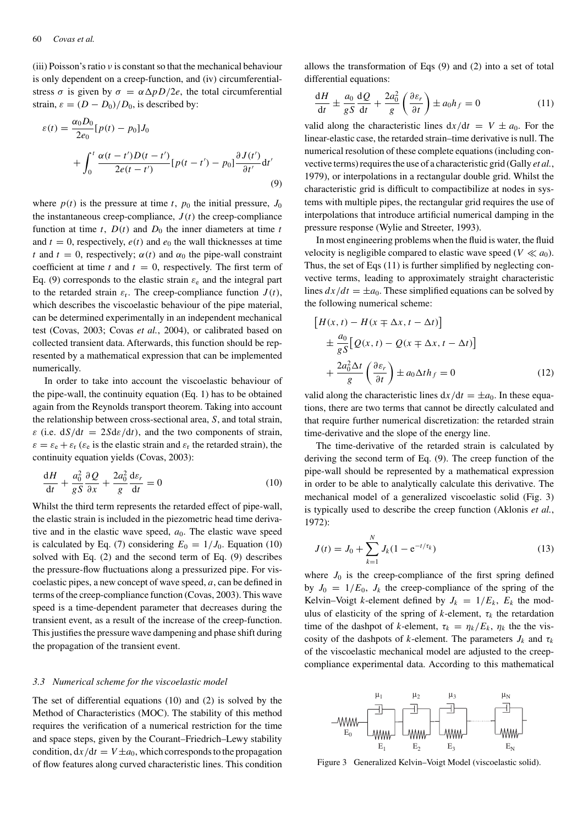(iii) Poisson's ratio  $\nu$  is constant so that the mechanical behaviour is only dependent on a creep-function, and (iv) circumferentialstress  $\sigma$  is given by  $\sigma = \alpha \Delta p D/2e$ , the total circumferential strain,  $\varepsilon = (D - D_0)/D_0$ , is described by:

$$
\varepsilon(t) = \frac{\alpha_0 D_0}{2e_0} [p(t) - p_0] J_0 + \int_0^t \frac{\alpha(t - t')D(t - t')}{2e(t - t')} [p(t - t') - p_0] \frac{\partial J(t')}{\partial t'} dt' \tag{9}
$$

where  $p(t)$  is the pressure at time t,  $p_0$  the initial pressure,  $J_0$ the instantaneous creep-compliance,  $J(t)$  the creep-compliance function at time t,  $D(t)$  and  $D_0$  the inner diameters at time t and  $t = 0$ , respectively,  $e(t)$  and  $e_0$  the wall thicknesses at time t and  $t = 0$ , respectively;  $\alpha(t)$  and  $\alpha_0$  the pipe-wall constraint coefficient at time t and  $t = 0$ , respectively. The first term of Eq. (9) corresponds to the elastic strain  $\varepsilon_e$  and the integral part to the retarded strain  $\varepsilon_r$ . The creep-compliance function  $J(t)$ , which describes the viscoelastic behaviour of the pipe material, can be determined experimentally in an independent mechanical test (Covas, 2003; Covas *et al.*, 2004), or calibrated based on collected transient data. Afterwards, this function should be represented by a mathematical expression that can be implemented numerically.

In order to take into account the viscoelastic behaviour of the pipe-wall, the continuity equation (Eq. 1) has to be obtained again from the Reynolds transport theorem. Taking into account the relationship between cross-sectional area, S, and total strain,  $\varepsilon$  (i.e.  $dS/dt = 2Sd\varepsilon/dt$ ), and the two components of strain,  $\varepsilon = \varepsilon_e + \varepsilon_r$  ( $\varepsilon_e$  is the elastic strain and  $\varepsilon_r$  the retarded strain), the continuity equation yields (Covas, 2003):

$$
\frac{dH}{dt} + \frac{a_0^2}{gS} \frac{\partial Q}{\partial x} + \frac{2a_0^2}{g} \frac{d\varepsilon_r}{dt} = 0
$$
\n(10)

Whilst the third term represents the retarded effect of pipe-wall, the elastic strain is included in the piezometric head time derivative and in the elastic wave speed,  $a_0$ . The elastic wave speed is calculated by Eq. (7) considering  $E_0 = 1/J_0$ . Equation (10) solved with Eq. (2) and the second term of Eq. (9) describes the pressure-flow fluctuations along a pressurized pipe. For viscoelastic pipes, a new concept of wave speed, a, can be defined in terms of the creep-compliance function (Covas, 2003). This wave speed is a time-dependent parameter that decreases during the transient event, as a result of the increase of the creep-function. This justifies the pressure wave dampening and phase shift during the propagation of the transient event.

#### *3.3 Numerical scheme for the viscoelastic model*

The set of differential equations (10) and (2) is solved by the Method of Characteristics (MOC). The stability of this method requires the verification of a numerical restriction for the time and space steps, given by the Courant–Friedrich–Lewy stability condition,  $dx/dt = V \pm a_0$ , which corresponds to the propagation of flow features along curved characteristic lines. This condition

allows the transformation of Eqs (9) and (2) into a set of total differential equations:

$$
\frac{dH}{dt} \pm \frac{a_0}{gS} \frac{dQ}{dt} + \frac{2a_0^2}{g} \left(\frac{\partial \varepsilon_r}{\partial t}\right) \pm a_0 h_f = 0 \tag{11}
$$

valid along the characteristic lines  $dx/dt = V \pm a_0$ . For the linear-elastic case, the retarded strain–time derivative is null. The numerical resolution of these complete equations (including convective terms) requires the use of a characteristic grid (Gally *et al.*, 1979), or interpolations in a rectangular double grid. Whilst the characteristic grid is difficult to compactibilize at nodes in systems with multiple pipes, the rectangular grid requires the use of interpolations that introduce artificial numerical damping in the pressure response (Wylie and Streeter, 1993).

In most engineering problems when the fluid is water, the fluid velocity is negligible compared to elastic wave speed ( $V \ll a_0$ ). Thus, the set of Eqs (11) is further simplified by neglecting convective terms, leading to approximately straight characteristic lines  $dx/dt = \pm a_0$ . These simplified equations can be solved by the following numerical scheme:

$$
\left[H(x, t) - H(x \mp \Delta x, t - \Delta t)\right]
$$
  
\n
$$
\pm \frac{a_0}{gS} \left[Q(x, t) - Q(x \mp \Delta x, t - \Delta t)\right]
$$
  
\n
$$
+ \frac{2a_0^2 \Delta t}{g} \left(\frac{\partial \varepsilon_r}{\partial t}\right) \pm a_0 \Delta t h_f = 0
$$
 (12)

valid along the characteristic lines  $dx/dt = \pm a_0$ . In these equations, there are two terms that cannot be directly calculated and that require further numerical discretization: the retarded strain time-derivative and the slope of the energy line.

The time-derivative of the retarded strain is calculated by deriving the second term of Eq. (9). The creep function of the pipe-wall should be represented by a mathematical expression in order to be able to analytically calculate this derivative. The mechanical model of a generalized viscoelastic solid (Fig. 3) is typically used to describe the creep function (Aklonis *et al.*, 1972):

$$
J(t) = J_0 + \sum_{k=1}^{N} J_k (1 - e^{-t/\tau_k})
$$
\n(13)

where  $J_0$  is the creep-compliance of the first spring defined by  $J_0 = 1/E_0$ ,  $J_k$  the creep-compliance of the spring of the Kelvin–Voigt k-element defined by  $J_k = 1/E_k$ ,  $E_k$  the modulus of elasticity of the spring of k-element,  $\tau_k$  the retardation time of the dashpot of k-element,  $\tau_k = \eta_k/E_k$ ,  $\eta_k$  the the viscosity of the dashpots of k-element. The parameters  $J_k$  and  $\tau_k$ of the viscoelastic mechanical model are adjusted to the creepcompliance experimental data. According to this mathematical



Figure 3 Generalized Kelvin–Voigt Model (viscoelastic solid).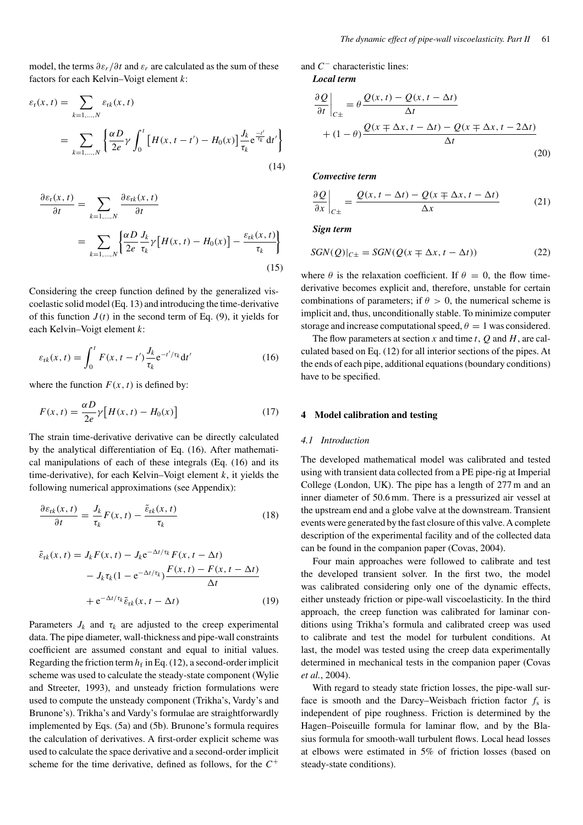model, the terms  $\partial \varepsilon_r/\partial t$  and  $\varepsilon_r$  are calculated as the sum of these factors for each Kelvin–Voigt element  $k$ :

$$
\varepsilon_{\rm r}(x,t) = \sum_{k=1,\dots,N} \varepsilon_{\rm rk}(x,t)
$$
  
= 
$$
\sum_{k=1,\dots,N} \left\{ \frac{\alpha D}{2e} \gamma \int_0^t \left[ H(x,t-t') - H_0(x) \right] \frac{J_k}{\tau_k} e^{\frac{-t'}{\tau_k}} dt' \right\}
$$
(14)

$$
\frac{\partial \varepsilon_{\rm r}(x,t)}{\partial t} = \sum_{k=1,\dots,N} \frac{\partial \varepsilon_{\rm rk}(x,t)}{\partial t}
$$

$$
= \sum_{k=1,\dots,N} \left\{ \frac{\alpha D}{2e} \frac{J_k}{\tau_k} \gamma \left[ H(x,t) - H_0(x) \right] - \frac{\varepsilon_{\rm rk}(x,t)}{\tau_k} \right\} \tag{15}
$$

Considering the creep function defined by the generalized viscoelastic solid model (Eq. 13) and introducing the time-derivative of this function  $J(t)$  in the second term of Eq. (9), it yields for each Kelvin–Voigt element k:

$$
\varepsilon_{\mathrm{r}k}(x,t) = \int_0^t F(x,t-t') \frac{J_k}{\tau_k} e^{-t'/\tau_k} \mathrm{d}t'
$$
\n(16)

where the function  $F(x, t)$  is defined by:

$$
F(x,t) = \frac{\alpha D}{2e} \gamma \left[ H(x,t) - H_0(x) \right] \tag{17}
$$

The strain time-derivative derivative can be directly calculated by the analytical differentiation of Eq. (16). After mathematical manipulations of each of these integrals (Eq. (16) and its time-derivative), for each Kelvin–Voigt element  $k$ , it yields the following numerical approximations (see Appendix):

$$
\frac{\partial \varepsilon_{rk}(x,t)}{\partial t} = \frac{J_k}{\tau_k} F(x,t) - \frac{\tilde{\varepsilon}_{rk}(x,t)}{\tau_k}
$$
(18)

$$
\tilde{\varepsilon}_{rk}(x,t) = J_k F(x,t) - J_k e^{-\Delta t/\tau_k} F(x, t - \Delta t)
$$

$$
- J_k \tau_k (1 - e^{-\Delta t/\tau_k}) \frac{F(x,t) - F(x, t - \Delta t)}{\Delta t}
$$

$$
+ e^{-\Delta t/\tau_k} \tilde{\varepsilon}_{rk}(x, t - \Delta t) \tag{19}
$$

Parameters  $J_k$  and  $\tau_k$  are adjusted to the creep experimental data. The pipe diameter, wall-thickness and pipe-wall constraints coefficient are assumed constant and equal to initial values. Regarding the friction term  $h_f$  in Eq. (12), a second-order implicit scheme was used to calculate the steady-state component (Wylie and Streeter, 1993), and unsteady friction formulations were used to compute the unsteady component (Trikha's, Vardy's and Brunone's). Trikha's and Vardy's formulae are straightforwardly implemented by Eqs. (5a) and (5b). Brunone's formula requires the calculation of derivatives. A first-order explicit scheme was used to calculate the space derivative and a second-order implicit scheme for the time derivative, defined as follows, for the  $C^+$ 

# and C<sup>−</sup> characteristic lines:

*Local term*

$$
\frac{\partial Q}{\partial t}\Big|_{C\pm} = \theta \frac{Q(x,t) - Q(x,t - \Delta t)}{\Delta t}
$$
  
+ 
$$
(1 - \theta) \frac{Q(x \mp \Delta x, t - \Delta t) - Q(x \mp \Delta x, t - 2\Delta t)}{\Delta t}
$$
(20)

*Convective term*

$$
\frac{\partial Q}{\partial x}\bigg|_{C\pm} = \frac{Q(x, t - \Delta t) - Q(x \mp \Delta x, t - \Delta t)}{\Delta x} \tag{21}
$$

*Sign term*

$$
SGN(Q)|_{C\pm} = SGN(Q(x \mp \Delta x, t - \Delta t))
$$
\n(22)

where  $\theta$  is the relaxation coefficient. If  $\theta = 0$ , the flow timederivative becomes explicit and, therefore, unstable for certain combinations of parameters; if  $\theta > 0$ , the numerical scheme is implicit and, thus, unconditionally stable. To minimize computer storage and increase computational speed,  $\theta = 1$  was considered.

The flow parameters at section x and time t,  $O$  and  $H$ , are calculated based on Eq. (12) for all interior sections of the pipes. At the ends of each pipe, additional equations (boundary conditions) have to be specified.

#### **4 Model calibration and testing**

# *4.1 Introduction*

The developed mathematical model was calibrated and tested using with transient data collected from a PE pipe-rig at Imperial College (London, UK). The pipe has a length of 277 m and an inner diameter of 50.6 mm. There is a pressurized air vessel at the upstream end and a globe valve at the downstream. Transient events were generated by the fast closure of this valve. A complete description of the experimental facility and of the collected data can be found in the companion paper (Covas, 2004).

Four main approaches were followed to calibrate and test the developed transient solver. In the first two, the model was calibrated considering only one of the dynamic effects, either unsteady friction or pipe-wall viscoelasticity. In the third approach, the creep function was calibrated for laminar conditions using Trikha's formula and calibrated creep was used to calibrate and test the model for turbulent conditions. At last, the model was tested using the creep data experimentally determined in mechanical tests in the companion paper (Covas *et al.*, 2004).

With regard to steady state friction losses, the pipe-wall surface is smooth and the Darcy–Weisbach friction factor  $f_s$  is independent of pipe roughness. Friction is determined by the Hagen–Poiseuille formula for laminar flow, and by the Blasius formula for smooth-wall turbulent flows. Local head losses at elbows were estimated in 5% of friction losses (based on steady-state conditions).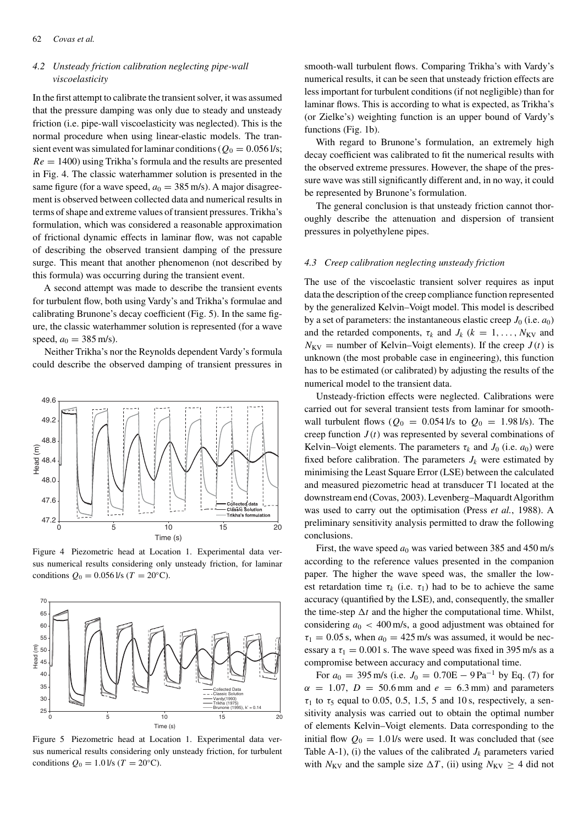### 62 *Covas et al.*

# *4.2 Unsteady friction calibration neglecting pipe-wall viscoelasticity*

In the first attempt to calibrate the transient solver, it was assumed that the pressure damping was only due to steady and unsteady friction (i.e. pipe-wall viscoelasticity was neglected). This is the normal procedure when using linear-elastic models. The transient event was simulated for laminar conditions ( $Q_0 = 0.056$  l/s;  $Re = 1400$ ) using Trikha's formula and the results are presented in Fig. 4. The classic waterhammer solution is presented in the same figure (for a wave speed,  $a_0 = 385$  m/s). A major disagreement is observed between collected data and numerical results in terms of shape and extreme values of transient pressures. Trikha's formulation, which was considered a reasonable approximation of frictional dynamic effects in laminar flow, was not capable of describing the observed transient damping of the pressure surge. This meant that another phenomenon (not described by this formula) was occurring during the transient event.

A second attempt was made to describe the transient events for turbulent flow, both using Vardy's and Trikha's formulae and calibrating Brunone's decay coefficient (Fig. 5). In the same figure, the classic waterhammer solution is represented (for a wave speed,  $a_0 = 385$  m/s).

Neither Trikha's nor the Reynolds dependent Vardy's formula could describe the observed damping of transient pressures in



Figure 4 Piezometric head at Location 1. Experimental data versus numerical results considering only unsteady friction, for laminar conditions  $Q_0 = 0.056$  l/s ( $T = 20$ °C).



Figure 5 Piezometric head at Location 1. Experimental data versus numerical results considering only unsteady friction, for turbulent conditions  $Q_0 = 1.0$  l/s (T = 20°C).

smooth-wall turbulent flows. Comparing Trikha's with Vardy's numerical results, it can be seen that unsteady friction effects are less important for turbulent conditions (if not negligible) than for laminar flows. This is according to what is expected, as Trikha's (or Zielke's) weighting function is an upper bound of Vardy's functions (Fig. 1b).

With regard to Brunone's formulation, an extremely high decay coefficient was calibrated to fit the numerical results with the observed extreme pressures. However, the shape of the pressure wave was still significantly different and, in no way, it could be represented by Brunone's formulation.

The general conclusion is that unsteady friction cannot thoroughly describe the attenuation and dispersion of transient pressures in polyethylene pipes.

# *4.3 Creep calibration neglecting unsteady friction*

The use of the viscoelastic transient solver requires as input data the description of the creep compliance function represented by the generalized Kelvin–Voigt model. This model is described by a set of parameters: the instantaneous elastic creep  $J_0$  (i.e.  $a_0$ ) and the retarded components,  $\tau_k$  and  $J_k$  ( $k = 1, \ldots, N_{\text{KV}}$  and  $N_{\text{KV}}$  = number of Kelvin–Voigt elements). If the creep  $J(t)$  is unknown (the most probable case in engineering), this function has to be estimated (or calibrated) by adjusting the results of the numerical model to the transient data.

Unsteady-friction effects were neglected. Calibrations were carried out for several transient tests from laminar for smoothwall turbulent flows ( $Q_0 = 0.054$  l/s to  $Q_0 = 1.98$  l/s). The creep function  $J(t)$  was represented by several combinations of Kelvin–Voigt elements. The parameters  $\tau_k$  and  $J_0$  (i.e.  $a_0$ ) were fixed before calibration. The parameters  $J_k$  were estimated by minimising the Least Square Error (LSE) between the calculated and measured piezometric head at transducer T1 located at the downstream end (Covas, 2003). Levenberg-Maquardt Algorithm was used to carry out the optimisation (Press *et al.*, 1988). A preliminary sensitivity analysis permitted to draw the following conclusions.

First, the wave speed  $a_0$  was varied between 385 and 450 m/s according to the reference values presented in the companion paper. The higher the wave speed was, the smaller the lowest retardation time  $\tau_k$  (i.e.  $\tau_1$ ) had to be to achieve the same accuracy (quantified by the LSE), and, consequently, the smaller the time-step  $\Delta t$  and the higher the computational time. Whilst, considering  $a_0 < 400$  m/s, a good adjustment was obtained for  $\tau_1 = 0.05$  s, when  $a_0 = 425$  m/s was assumed, it would be necessary a  $\tau_1 = 0.001$  s. The wave speed was fixed in 395 m/s as a compromise between accuracy and computational time.

For  $a_0 = 395$  m/s (i.e.  $J_0 = 0.70E - 9Pa^{-1}$  by Eq. (7) for  $\alpha$  = 1.07, D = 50.6 mm and e = 6.3 mm) and parameters  $\tau_1$  to  $\tau_5$  equal to 0.05, 0.5, 1.5, 5 and 10 s, respectively, a sensitivity analysis was carried out to obtain the optimal number of elements Kelvin–Voigt elements. Data corresponding to the initial flow  $Q_0 = 1.0$  l/s were used. It was concluded that (see Table A-1), (i) the values of the calibrated  $J_k$  parameters varied with  $N_{\text{KV}}$  and the sample size  $\Delta T$ , (ii) using  $N_{\text{KV}} \geq 4$  did not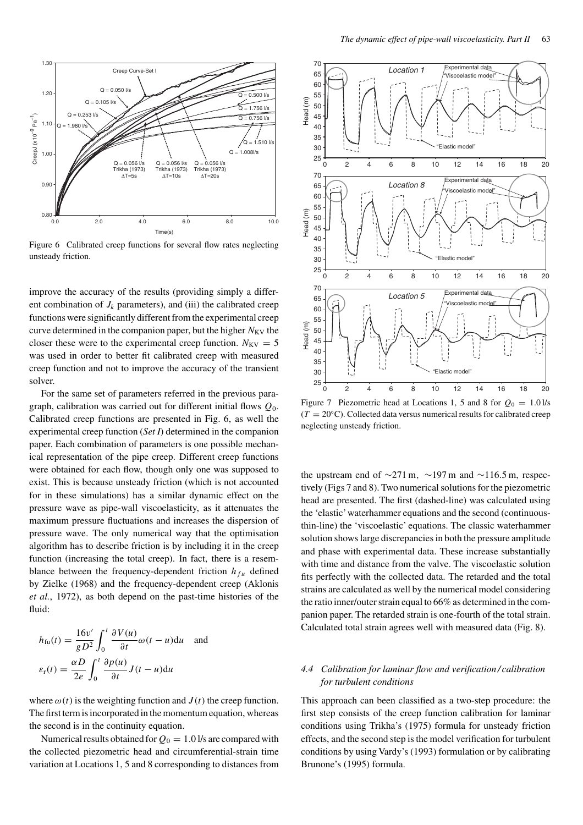

Figure 6 Calibrated creep functions for several flow rates neglecting unsteady friction.

improve the accuracy of the results (providing simply a different combination of  $J_k$  parameters), and (iii) the calibrated creep functions were significantly different from the experimental creep curve determined in the companion paper, but the higher  $N_{\text{KV}}$  the closer these were to the experimental creep function.  $N_{\text{KV}} = 5$ was used in order to better fit calibrated creep with measured creep function and not to improve the accuracy of the transient solver.

For the same set of parameters referred in the previous paragraph, calibration was carried out for different initial flows  $Q_0$ . Calibrated creep functions are presented in Fig. 6, as well the experimental creep function (*Set I*) determined in the companion paper. Each combination of parameters is one possible mechanical representation of the pipe creep. Different creep functions were obtained for each flow, though only one was supposed to exist. This is because unsteady friction (which is not accounted for in these simulations) has a similar dynamic effect on the pressure wave as pipe-wall viscoelasticity, as it attenuates the maximum pressure fluctuations and increases the dispersion of pressure wave. The only numerical way that the optimisation algorithm has to describe friction is by including it in the creep function (increasing the total creep). In fact, there is a resemblance between the frequency-dependent friction  $h_{fu}$  defined by Zielke (1968) and the frequency-dependent creep (Aklonis *et al.*, 1972), as both depend on the past-time histories of the fluid:

$$
h_{\text{fu}}(t) = \frac{16v'}{gD^2} \int_0^t \frac{\partial V(u)}{\partial t} \omega(t - u) \, \text{d}u \quad \text{and}
$$
\n
$$
\varepsilon_{\text{r}}(t) = \frac{\alpha D}{2e} \int_0^t \frac{\partial p(u)}{\partial t} J(t - u) \, \text{d}u
$$

where  $\omega(t)$  is the weighting function and  $J(t)$  the creep function. The first term is incorporated in the momentum equation, whereas the second is in the continuity equation.

Numerical results obtained for  $Q_0 = 1.0$  l/s are compared with the collected piezometric head and circumferential-strain time variation at Locations 1, 5 and 8 corresponding to distances from



Figure 7 Piezometric head at Locations 1, 5 and 8 for  $Q_0 = 1.01$ /s  $(T = 20\degree C)$ . Collected data versus numerical results for calibrated creep neglecting unsteady friction.

the upstream end of  $\sim$ 271 m,  $\sim$ 197 m and  $\sim$ 116.5 m, respectively (Figs 7 and 8). Two numerical solutions for the piezometric head are presented. The first (dashed-line) was calculated using the 'elastic'waterhammer equations and the second (continuousthin-line) the 'viscoelastic' equations. The classic waterhammer solution shows large discrepancies in both the pressure amplitude and phase with experimental data. These increase substantially with time and distance from the valve. The viscoelastic solution fits perfectly with the collected data. The retarded and the total strains are calculated as well by the numerical model considering the ratio inner/outer strain equal to 66% as determined in the companion paper. The retarded strain is one-fourth of the total strain. Calculated total strain agrees well with measured data (Fig. 8).

# *4.4 Calibration for laminar flow and verification / calibration for turbulent conditions*

This approach can been classified as a two-step procedure: the first step consists of the creep function calibration for laminar conditions using Trikha's (1975) formula for unsteady friction effects, and the second step is the model verification for turbulent conditions by using Vardy's (1993) formulation or by calibrating Brunone's (1995) formula.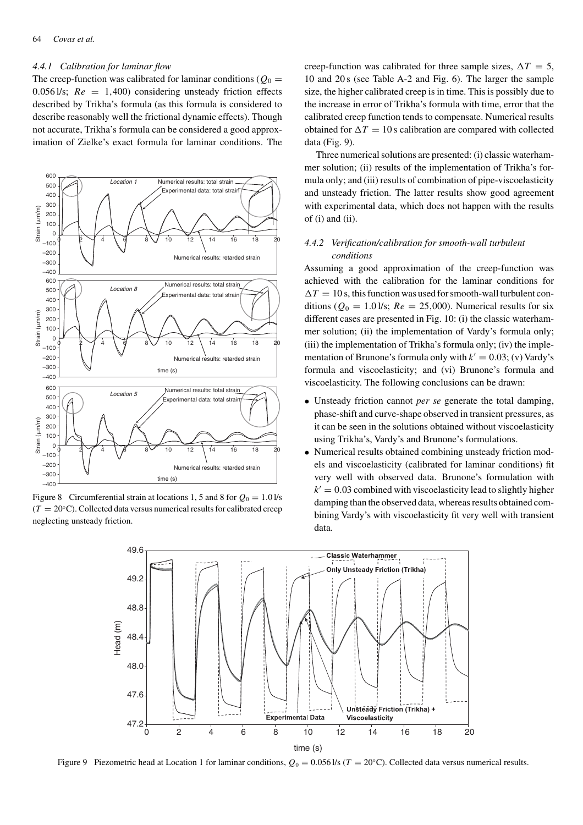#### *4.4.1 Calibration for laminar flow*

The creep-function was calibrated for laminar conditions ( $Q_0$  = 0.056 l/s;  $Re = 1,400$  considering unsteady friction effects described by Trikha's formula (as this formula is considered to describe reasonably well the frictional dynamic effects). Though not accurate, Trikha's formula can be considered a good approximation of Zielke's exact formula for laminar conditions. The



Figure 8 Circumferential strain at locations 1, 5 and 8 for  $Q_0 = 1.01$ /s  $(T = 20\degree C)$ . Collected data versus numerical results for calibrated creep neglecting unsteady friction.

creep-function was calibrated for three sample sizes,  $\Delta T = 5$ , 10 and 20 s (see Table A-2 and Fig. 6). The larger the sample size, the higher calibrated creep is in time. This is possibly due to the increase in error of Trikha's formula with time, error that the calibrated creep function tends to compensate. Numerical results obtained for  $\Delta T = 10$  s calibration are compared with collected data (Fig. 9).

Three numerical solutions are presented: (i) classic waterhammer solution; (ii) results of the implementation of Trikha's formula only; and (iii) results of combination of pipe-viscoelasticity and unsteady friction. The latter results show good agreement with experimental data, which does not happen with the results of (i) and (ii).

# *4.4.2 Verification/calibration for smooth-wall turbulent conditions*

Assuming a good approximation of the creep-function was achieved with the calibration for the laminar conditions for  $\Delta T = 10$  s, this function was used for smooth-wall turbulent conditions ( $Q_0 = 1.0$  l/s;  $Re = 25,000$ ). Numerical results for six different cases are presented in Fig. 10: (i) the classic waterhammer solution; (ii) the implementation of Vardy's formula only; (iii) the implementation of Trikha's formula only; (iv) the implementation of Brunone's formula only with  $k' = 0.03$ ; (v) Vardy's formula and viscoelasticity; and (vi) Brunone's formula and viscoelasticity. The following conclusions can be drawn:

- Unsteady friction cannot *per se* generate the total damping, phase-shift and curve-shape observed in transient pressures, as it can be seen in the solutions obtained without viscoelasticity using Trikha's, Vardy's and Brunone's formulations.
- Numerical results obtained combining unsteady friction models and viscoelasticity (calibrated for laminar conditions) fit very well with observed data. Brunone's formulation with  $k' = 0.03$  combined with viscoelasticity lead to slightly higher damping than the observed data, whereas results obtained combining Vardy's with viscoelasticity fit very well with transient data.



Figure 9 Piezometric head at Location 1 for laminar conditions,  $Q_0 = 0.056$  l/s (T = 20°C). Collected data versus numerical results.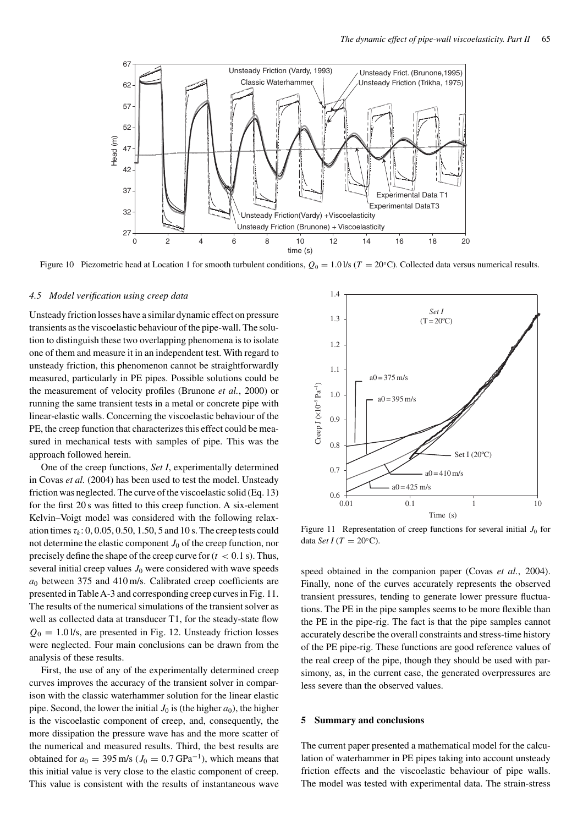

Figure 10 Piezometric head at Location 1 for smooth turbulent conditions,  $Q_0 = 1.0$  l/s (T = 20°C). Collected data versus numerical results.

#### *4.5 Model verification using creep data*

Unsteady friction losses have a similar dynamic effect on pressure transients as the viscoelastic behaviour of the pipe-wall. The solution to distinguish these two overlapping phenomena is to isolate one of them and measure it in an independent test. With regard to unsteady friction, this phenomenon cannot be straightforwardly measured, particularly in PE pipes. Possible solutions could be the measurement of velocity profiles (Brunone *et al.*, 2000) or running the same transient tests in a metal or concrete pipe with linear-elastic walls. Concerning the viscoelastic behaviour of the PE, the creep function that characterizes this effect could be measured in mechanical tests with samples of pipe. This was the approach followed herein.

One of the creep functions, *Set I*, experimentally determined in Covas *et al.* (2004) has been used to test the model. Unsteady friction was neglected. The curve of the viscoelastic solid (Eq. 13) for the first 20 s was fitted to this creep function. A six-element Kelvin–Voigt model was considered with the following relaxation times  $\tau_k$ : 0, 0.05, 0.50, 1.50, 5 and 10 s. The creep tests could not determine the elastic component  $J_0$  of the creep function, nor precisely define the shape of the creep curve for  $(t < 0.1 s)$ . Thus, several initial creep values  $J_0$  were considered with wave speeds  $a_0$  between 375 and 410 m/s. Calibrated creep coefficients are presented in TableA-3 and corresponding creep curves in Fig. 11. The results of the numerical simulations of the transient solver as well as collected data at transducer T1, for the steady-state flow  $Q_0 = 1.0$  l/s, are presented in Fig. 12. Unsteady friction losses were neglected. Four main conclusions can be drawn from the analysis of these results.

First, the use of any of the experimentally determined creep curves improves the accuracy of the transient solver in comparison with the classic waterhammer solution for the linear elastic pipe. Second, the lower the initial  $J_0$  is (the higher  $a_0$ ), the higher is the viscoelastic component of creep, and, consequently, the more dissipation the pressure wave has and the more scatter of the numerical and measured results. Third, the best results are obtained for  $a_0 = 395$  m/s ( $J_0 = 0.7$  GPa<sup>-1</sup>), which means that this initial value is very close to the elastic component of creep. This value is consistent with the results of instantaneous wave



Figure 11 Representation of creep functions for several initial  $J_0$  for data *Set I* ( $T = 20$ °C).

speed obtained in the companion paper (Covas *et al.*, 2004). Finally, none of the curves accurately represents the observed transient pressures, tending to generate lower pressure fluctuations. The PE in the pipe samples seems to be more flexible than the PE in the pipe-rig. The fact is that the pipe samples cannot accurately describe the overall constraints and stress-time history of the PE pipe-rig. These functions are good reference values of the real creep of the pipe, though they should be used with parsimony, as, in the current case, the generated overpressures are less severe than the observed values.

### **5 Summary and conclusions**

The current paper presented a mathematical model for the calculation of waterhammer in PE pipes taking into account unsteady friction effects and the viscoelastic behaviour of pipe walls. The model was tested with experimental data. The strain-stress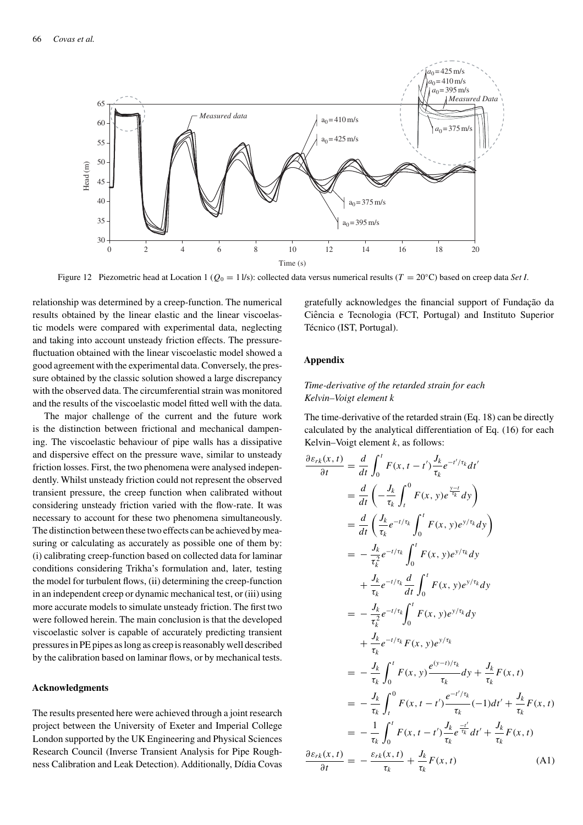

Figure 12 Piezometric head at Location 1 ( $Q_0 = 1$  l/s): collected data versus numerical results ( $T = 20$ °C) based on creep data *Set I*.

relationship was determined by a creep-function. The numerical results obtained by the linear elastic and the linear viscoelastic models were compared with experimental data, neglecting and taking into account unsteady friction effects. The pressurefluctuation obtained with the linear viscoelastic model showed a good agreement with the experimental data. Conversely, the pressure obtained by the classic solution showed a large discrepancy with the observed data. The circumferential strain was monitored and the results of the viscoelastic model fitted well with the data.

The major challenge of the current and the future work is the distinction between frictional and mechanical dampening. The viscoelastic behaviour of pipe walls has a dissipative and dispersive effect on the pressure wave, similar to unsteady friction losses. First, the two phenomena were analysed independently. Whilst unsteady friction could not represent the observed transient pressure, the creep function when calibrated without considering unsteady friction varied with the flow-rate. It was necessary to account for these two phenomena simultaneously. The distinction between these two effects can be achieved by measuring or calculating as accurately as possible one of them by: (i) calibrating creep-function based on collected data for laminar conditions considering Trikha's formulation and, later, testing the model for turbulent flows, (ii) determining the creep-function in an independent creep or dynamic mechanical test, or (iii) using more accurate models to simulate unsteady friction. The first two were followed herein. The main conclusion is that the developed viscoelastic solver is capable of accurately predicting transient pressures in PE pipes as long as creep is reasonably well described by the calibration based on laminar flows, or by mechanical tests.

# **Acknowledgments**

The results presented here were achieved through a joint research project between the University of Exeter and Imperial College London supported by the UK Engineering and Physical Sciences Research Council (Inverse Transient Analysis for Pipe Roughness Calibration and Leak Detection). Additionally, Dídia Covas

gratefully acknowledges the financial support of Fundação da Ciência e Tecnologia (FCT, Portugal) and Instituto Superior Técnico (IST, Portugal).

# **Appendix**

# *Time-derivative of the retarded strain for each Kelvin–Voigt element k*

The time-derivative of the retarded strain (Eq. 18) can be directly calculated by the analytical differentiation of Eq. (16) for each Kelvin–Voigt element  $k$ , as follows:

$$
\frac{\partial \varepsilon_{rk}(x,t)}{\partial t} = \frac{d}{dt} \int_0^t F(x, t - t') \frac{J_k}{\tau_k} e^{-t'/\tau_k} dt'
$$
\n
$$
= \frac{d}{dt} \left( -\frac{J_k}{\tau_k} \int_t^0 F(x, y) e^{\frac{y-t}{\tau_k}} dy \right)
$$
\n
$$
= \frac{d}{dt} \left( \frac{J_k}{\tau_k} e^{-t/\tau_k} \int_0^t F(x, y) e^{y/\tau_k} dy \right)
$$
\n
$$
= -\frac{J_k}{\tau_k^2} e^{-t/\tau_k} \int_0^t F(x, y) e^{y/\tau_k} dy
$$
\n
$$
+ \frac{J_k}{\tau_k} e^{-t/\tau_k} \frac{d}{dt} \int_0^t F(x, y) e^{y/\tau_k} dy
$$
\n
$$
= -\frac{J_k}{\tau_k^2} e^{-t/\tau_k} \int_0^t F(x, y) e^{y/\tau_k} dy
$$
\n
$$
+ \frac{J_k}{\tau_k} e^{-t/\tau_k} F(x, y) e^{y/\tau_k}
$$
\n
$$
= -\frac{J_k}{\tau_k} \int_0^t F(x, y) \frac{e^{(y-t)/\tau_k}}{\tau_k} dy + \frac{J_k}{\tau_k} F(x, t)
$$
\n
$$
= -\frac{J_k}{\tau_k} \int_0^0 F(x, t - t') \frac{e^{-t'/\tau_k}}{\tau_k} (-1) dt' + \frac{J_k}{\tau_k} F(x, t)
$$
\n
$$
= -\frac{1}{\tau_k} \int_0^t F(x, t - t') \frac{J_k}{\tau_k} e^{\frac{-t'}{\tau_k}} dt' + \frac{J_k}{\tau_k} F(x, t)
$$
\n
$$
\frac{\partial \varepsilon_{rk}(x, t)}{\partial t} = -\frac{\varepsilon_{rk}(x, t)}{\tau_k} + \frac{J_k}{\tau_k} F(x, t) \tag{A1}
$$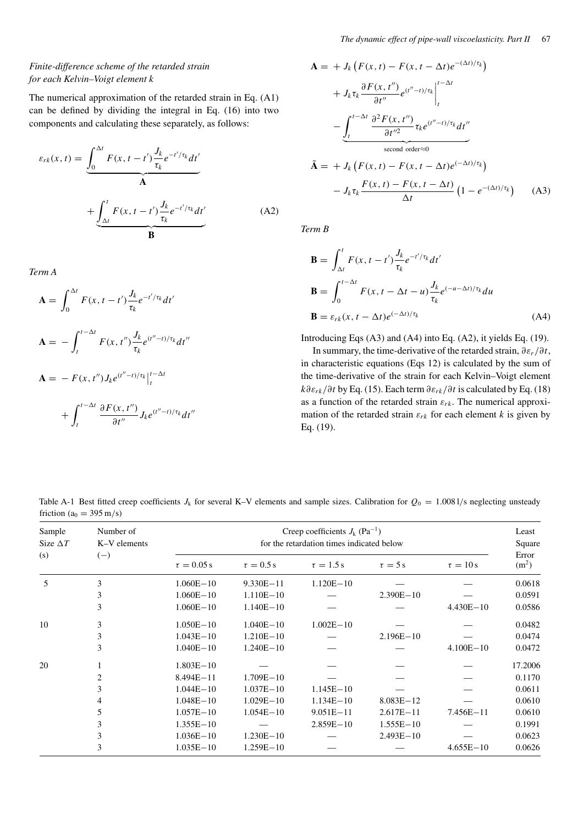# *Finite-difference scheme of the retarded strain for each Kelvin–Voigt element* k

The numerical approximation of the retarded strain in Eq. (A1) can be defined by dividing the integral in Eq. (16) into two components and calculating these separately, as follows:

$$
\varepsilon_{rk}(x,t) = \underbrace{\int_0^{\Delta t} F(x, t - t') \frac{J_k}{\tau_k} e^{-t'/\tau_k} dt'}_{\mathbf{A}} + \underbrace{\int_{\Delta t}^t F(x, t - t') \frac{J_k}{\tau_k} e^{-t'/\tau_k} dt'}_{\mathbf{B}} \tag{A2}
$$

*Term A*

$$
\mathbf{A} = \int_0^{\Delta t} F(x, t - t') \frac{J_k}{\tau_k} e^{-t'/\tau_k} dt'
$$
  
\n
$$
\mathbf{A} = -\int_t^{t - \Delta t} F(x, t'') \frac{J_k}{\tau_k} e^{(t'' - t)/\tau_k} dt''
$$
  
\n
$$
\mathbf{A} = -F(x, t'') J_k e^{(t'' - t)/\tau_k} \Big|_t^{t - \Delta t}
$$
  
\n
$$
+ \int_t^{t - \Delta t} \frac{\partial F(x, t'')}{\partial t''} J_k e^{(t'' - t)/\tau_k} dt''
$$

$$
\mathbf{A} = + J_k \left( F(x, t) - F(x, t - \Delta t) e^{-(\Delta t)/\tau_k} \right)
$$
  
+ 
$$
J_k \tau_k \frac{\partial F(x, t'')}{\partial t''} e^{(t''-t)/\tau_k} \Big|_{t}^{t - \Delta t}
$$
  
- 
$$
\underbrace{\int_t^{t - \Delta t} \frac{\partial^2 F(x, t'')}{\partial t''^2} \tau_k e^{(t''-t)/\tau_k} dt''}_{\text{second order} \approx 0}
$$
  

$$
\tilde{\mathbf{A}} = + J_k \left( F(x, t) - F(x, t - \Delta t) e^{(-\Delta t)/\tau_k} \right)
$$
  
- 
$$
J_k \tau_k \frac{F(x, t) - F(x, t - \Delta t)}{\Delta t} \left( 1 - e^{-(\Delta t)/\tau_k} \right) \tag{A3}
$$

*Term B*

$$
\mathbf{B} = \int_{\Delta t}^{t} F(x, t - t') \frac{J_k}{\tau_k} e^{-t'/\tau_k} dt'
$$
  
\n
$$
\mathbf{B} = \int_{0}^{t - \Delta t} F(x, t - \Delta t - u) \frac{J_k}{\tau_k} e^{(-u - \Delta t)/\tau_k} du
$$
  
\n
$$
\mathbf{B} = \varepsilon_{rk}(x, t - \Delta t) e^{(-\Delta t)/\tau_k}
$$
(A4)

Introducing Eqs (A3) and (A4) into Eq. (A2), it yields Eq. (19).

In summary, the time-derivative of the retarded strain,  $\partial \varepsilon_r/\partial t$ , in characteristic equations (Eqs 12) is calculated by the sum of the time-derivative of the strain for each Kelvin–Voigt element  $k\partial\varepsilon_{rk}/\partial t$  by Eq. (15). Each term  $\partial\varepsilon_{rk}/\partial t$  is calculated by Eq. (18) as a function of the retarded strain  $\varepsilon_{rk}$ . The numerical approximation of the retarded strain  $\varepsilon_{rk}$  for each element k is given by Eq. (19).

Table A-1 Best fitted creep coefficients  $J_k$  for several K–V elements and sample sizes. Calibration for  $Q_0 = 1.0081/s$  neglecting unsteady friction ( $a_0 = 395 \text{ m/s}$ )

| Sample<br>Size $\Delta T$<br>(s) | Number of<br>K-V elements<br>$(-)$ | Creep coefficients $J_k$ (Pa <sup>-1</sup> )<br>for the retardation times indicated below |                |                |               |               |                            |
|----------------------------------|------------------------------------|-------------------------------------------------------------------------------------------|----------------|----------------|---------------|---------------|----------------------------|
|                                  |                                    | $\tau = 0.05$ s                                                                           | $\tau = 0.5$ s | $\tau = 1.5$ s | $\tau = 5$ s  | $\tau = 10$ s | Error<br>(m <sup>2</sup> ) |
| 5                                | 3                                  | $1.060E - 10$                                                                             | $9.330E - 11$  | $1.120E - 10$  |               |               | 0.0618                     |
|                                  | 3                                  | $1.060E - 10$                                                                             | $1.110E - 10$  |                | $2.390E - 10$ |               | 0.0591                     |
|                                  | 3                                  | $1.060E - 10$                                                                             | $1.140E - 10$  |                |               | $4.430E - 10$ | 0.0586                     |
| 10                               | 3                                  | $1.050E - 10$                                                                             | $1.040E - 10$  | $1.002E - 10$  |               |               | 0.0482                     |
|                                  | 3                                  | $1.043E - 10$                                                                             | $1.210E - 10$  |                | $2.196E - 10$ |               | 0.0474                     |
|                                  | 3                                  | $1.040E - 10$                                                                             | $1.240E - 10$  |                |               | $4.100E - 10$ | 0.0472                     |
| 20                               |                                    | $1.803E - 10$                                                                             |                |                |               |               | 17.2006                    |
|                                  | 2                                  | $8.494E - 11$                                                                             | $1.709E - 10$  |                |               |               | 0.1170                     |
|                                  | 3                                  | $1.044E - 10$                                                                             | $1.037E - 10$  | $1.145E - 10$  |               |               | 0.0611                     |
|                                  | 4                                  | $1.048E - 10$                                                                             | $1.029E - 10$  | $1.134E - 10$  | $8.083E - 12$ |               | 0.0610                     |
|                                  | 5                                  | $1.057E - 10$                                                                             | $1.054E - 10$  | $9.051E - 11$  | $2.617E - 11$ | $7.456E - 11$ | 0.0610                     |
|                                  | 3                                  | $1.355E - 10$                                                                             |                | $2.859E - 10$  | $1.555E - 10$ |               | 0.1991                     |
|                                  | 3                                  | $1.036E - 10$                                                                             | $1.230E - 10$  |                | $2.493E - 10$ |               | 0.0623                     |
|                                  | 3                                  | $1.035E - 10$                                                                             | $1.259E - 10$  |                |               | $4.655E - 10$ | 0.0626                     |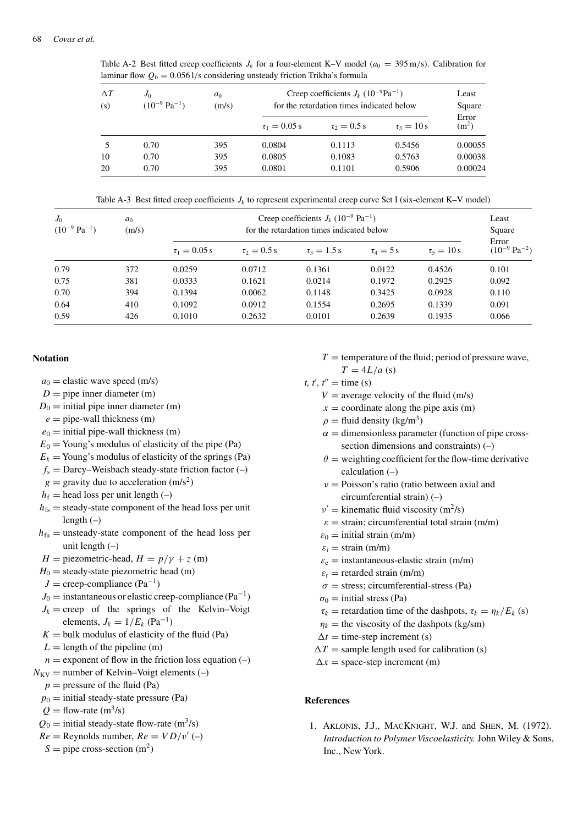Table A-2 Best fitted creep coefficients  $J_k$  for a four-element K–V model ( $a_0 = 395$  m/s). Calibration for laminar flow  $Q_0 = 0.0561/s$  considering unsteady friction Trikha's formula

| $\Delta T$<br>(s) | $J_0$<br>$(10^{-9} \text{ Pa}^{-1})$ | a <sub>0</sub><br>(m/s) | Creep coefficients $J_k$ (10 <sup>-9</sup> Pa <sup>-1</sup> )<br>for the retardation times indicated below | Least<br>Square  |                 |                            |
|-------------------|--------------------------------------|-------------------------|------------------------------------------------------------------------------------------------------------|------------------|-----------------|----------------------------|
|                   |                                      |                         | $\tau_1 = 0.05$ s                                                                                          | $\tau_2 = 0.5 s$ | $\tau_3 = 10 s$ | Error<br>(m <sup>2</sup> ) |
| 5                 | 0.70                                 | 395                     | 0.0804                                                                                                     | 0.1113           | 0.5456          | 0.00055                    |
| 10                | 0.70                                 | 395                     | 0.0805                                                                                                     | 0.1083           | 0.5763          | 0.00038                    |
| 20                | 0.70                                 | 395                     | 0.0801                                                                                                     | 0.1101           | 0.5906          | 0.00024                    |

Table A-3 Best fitted creep coefficients  $J_k$  to represent experimental creep curve Set I (six-element K–V model)

| $J_0$<br>$(10^{-9} \text{ Pa}^{-1})$ | a <sub>0</sub><br>(m/s) |                   | Least<br>Square  |                          |                |                 |                                      |
|--------------------------------------|-------------------------|-------------------|------------------|--------------------------|----------------|-----------------|--------------------------------------|
|                                      |                         | $\tau_1 = 0.05$ s | $\tau_2 = 0.5 s$ | $\tau_3 = 1.5 \text{ s}$ | $\tau_4 = 5$ s | $\tau_5 = 10$ s | Error<br>$(10^{-9} \text{ Pa}^{-2})$ |
| 0.79                                 | 372                     | 0.0259            | 0.0712           | 0.1361                   | 0.0122         | 0.4526          | 0.101                                |
| 0.75                                 | 381                     | 0.0333            | 0.1621           | 0.0214                   | 0.1972         | 0.2925          | 0.092                                |
| 0.70                                 | 394                     | 0.1394            | 0.0062           | 0.1148                   | 0.3425         | 0.0928          | 0.110                                |
| 0.64                                 | 410                     | 0.1092            | 0.0912           | 0.1554                   | 0.2695         | 0.1339          | 0.091                                |
| 0.59                                 | 426                     | 0.1010            | 0.2632           | 0.0101                   | 0.2639         | 0.1935          | 0.066                                |

# **Notation**

- $a_0$  = elastic wave speed (m/s)
- $D =$  pipe inner diameter (m)
- $D_0 =$  initial pipe inner diameter (m)
- $e =$  pipe-wall thickness (m)
- $e_0$  = initial pipe-wall thickness (m)
- $E_0$  = Young's modulus of elasticity of the pipe (Pa)
- $E_k$  = Young's modulus of elasticity of the springs (Pa)
- $f_s =$ Darcy–Weisbach steady-state friction factor (–)
- $g =$  gravity due to acceleration (m/s<sup>2</sup>)
- $h_f$  = head loss per unit length (–)
- $h_{fs}$  = steady-state component of the head loss per unit length  $(-)$
- $h_{\text{fu}} =$  unsteady-state component of the head loss per unit length  $(-)$
- $H =$  piezometric-head,  $H = p/\gamma + z$  (m)
- $H_0$  = steady-state piezometric head (m)
- $J =$  creep-compliance (Pa<sup>-1</sup>)
- $J_0$  = instantaneous or elastic creep-compliance (Pa<sup>-1</sup>)
- $J_k$  = creep of the springs of the Kelvin–Voigt elements,  $J_k = 1/E_k$  (Pa<sup>-1</sup>)
- $K =$  bulk modulus of elasticity of the fluid (Pa)
- $L =$  length of the pipeline (m)

 $n =$  exponent of flow in the friction loss equation  $(-)$ 

- $N_{\text{KV}}$  = number of Kelvin–Voigt elements (–)
	- $p =$  pressure of the fluid (Pa)
	- $p_0$  = initial steady-state pressure (Pa)
	- $Q =$  flow-rate (m<sup>3</sup>/s)
	- $Q_0$  = initial steady-state flow-rate (m<sup>3</sup>/s)
	- $Re =$  Reynolds number,  $Re = V D/v' (-)$
	- $S =$  pipe cross-section  $(m<sup>2</sup>)$

 $T =$  temperature of the fluid; period of pressure wave,  $T = 4L/a$  (s)

 $t, t', t'' =$  time (s)

- $V =$  average velocity of the fluid (m/s)
- $x =$  coordinate along the pipe axis (m)
- $\rho =$  fluid density (kg/m<sup>3</sup>)
- $\alpha$  = dimensionless parameter (function of pipe crosssection dimensions and constraints) (–)
- $\theta$  = weighting coefficient for the flow-time derivative calculation  $(-)$
- $\nu$  = Poisson's ratio (ratio between axial and circumferential strain) (–)
- $v'$  = kinematic fluid viscosity (m<sup>2</sup>/s)
- $\varepsilon$  = strain; circumferential total strain (m/m)
- $\varepsilon_0$  = initial strain (m/m)
- $\varepsilon_i$  = strain (m/m)
- $\varepsilon_e$  = instantaneous-elastic strain (m/m)
- $\varepsilon_r$  = retarded strain (m/m)
- $\sigma$  = stress; circumferential-stress (Pa)
- $\sigma_0$  = initial stress (Pa)
- $\tau_k$  = retardation time of the dashpots,  $\tau_k = \eta_k/E_k$  (s)
- $\eta_k$  = the viscosity of the dashpots (kg/sm)
- $\Delta t$  = time-step increment (s)
- $\Delta T$  = sample length used for calibration (s)
- $\Delta x$  = space-step increment (m)

# **References**

1. Aklonis, J.J., MacKnight, W.J. and Shen, M. (1972). *Introduction to Polymer Viscoelasticity.* John Wiley & Sons, Inc., New York.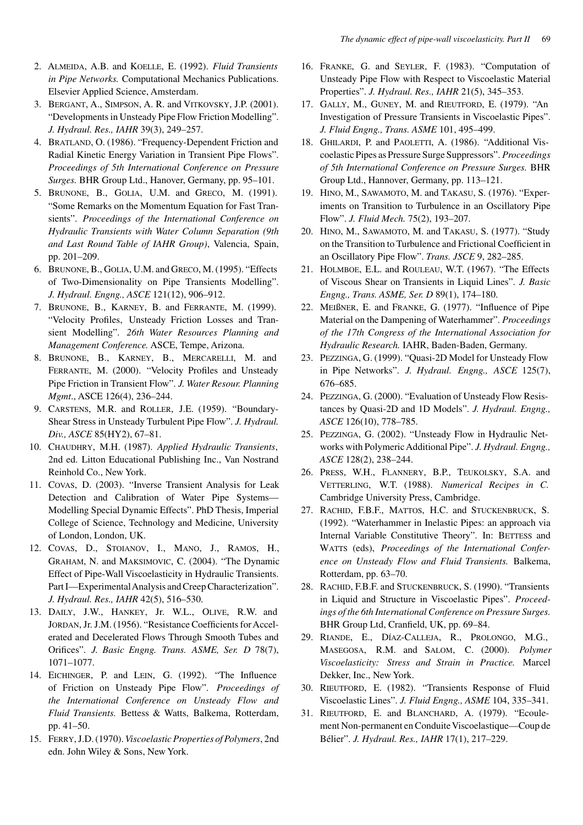- 2. Almeida, A.B. and Koelle, E. (1992). *Fluid Transients in Pipe Networks.* Computational Mechanics Publications. Elsevier Applied Science, Amsterdam.
- 3. Bergant, A., Simpson, A. R. and Vitkovsky, J.P. (2001). "Developments in Unsteady Pipe Flow Friction Modelling". *J. Hydraul. Res., IAHR* 39(3), 249–257.
- 4. Bratland, O. (1986). "Frequency-Dependent Friction and Radial Kinetic Energy Variation in Transient Pipe Flows". *Proceedings of 5th International Conference on Pressure Surges.* BHR Group Ltd., Hanover, Germany, pp. 95–101.
- 5. Brunone, B., Golia, U.M. and Greco, M. (1991). "Some Remarks on the Momentum Equation for Fast Transients". *Proceedings of the International Conference on Hydraulic Transients with Water Column Separation (9th and Last Round Table of IAHR Group)*, Valencia, Spain, pp. 201–209.
- 6. Brunone, B., Golia, U.M. and Greco, M. (1995). "Effects of Two-Dimensionality on Pipe Transients Modelling". *J. Hydraul. Engng., ASCE* 121(12), 906–912.
- 7. Brunone, B., Karney, B. and Ferrante, M. (1999). "Velocity Profiles, Unsteady Friction Losses and Transient Modelling". *26th Water Resources Planning and Management Conference.* ASCE, Tempe, Arizona.
- 8. Brunone, B., Karney, B., Mercarelli, M. and FERRANTE, M. (2000). "Velocity Profiles and Unsteady Pipe Friction in Transient Flow". *J. Water Resour. Planning Mgmt*., ASCE 126(4), 236–244.
- 9. CARSTENS, M.R. and ROLLER, J.E. (1959). "Boundary-Shear Stress in Unsteady Turbulent Pipe Flow". *J. Hydraul. Div., ASCE* 85(HY2), 67–81.
- 10. Chaudhry, M.H. (1987). *Applied Hydraulic Transients*, 2nd ed. Litton Educational Publishing Inc., Van Nostrand Reinhold Co., New York.
- 11. Covas, D. (2003). "Inverse Transient Analysis for Leak Detection and Calibration of Water Pipe Systems— Modelling Special Dynamic Effects". PhD Thesis, Imperial College of Science, Technology and Medicine, University of London, London, UK.
- 12. Covas, D., Stoianov, I., Mano, J., Ramos, H., Graham, N. and Maksimovic, C. (2004). "The Dynamic Effect of Pipe-Wall Viscoelasticity in Hydraulic Transients. Part I—ExperimentalAnalysis and Creep Characterization". *J. Hydraul. Res., IAHR* 42(5), 516–530.
- 13. Daily, J.W., Hankey, Jr. W.L., Olive, R.W. and JORDAN, Jr. J.M. (1956). "Resistance Coefficients for Accelerated and Decelerated Flows Through Smooth Tubes and Orifices". *J. Basic Engng. Trans. ASME, Ser. D* 78(7), 1071–1077.
- 14. Eichinger, P. and Lein, G. (1992). "The Influence of Friction on Unsteady Pipe Flow". *Proceedings of the International Conference on Unsteady Flow and Fluid Transients.* Bettess & Watts, Balkema, Rotterdam, pp. 41–50.
- 15. Ferry, J.D. (1970).*Viscoelastic Properties of Polymers*, 2nd edn. John Wiley & Sons, New York.
- 16. Franke, G. and Seyler, F. (1983). "Computation of Unsteady Pipe Flow with Respect to Viscoelastic Material Properties". *J. Hydraul. Res., IAHR* 21(5), 345–353.
- 17. Gally, M., Guney, M. and Rieutford, E. (1979). "An Investigation of Pressure Transients in Viscoelastic Pipes". *J. Fluid Engng., Trans. ASME* 101, 495–499.
- 18. GHILARDI, P. and PAOLETTI, A. (1986). "Additional Viscoelastic Pipes as Pressure Surge Suppressors". *Proceedings of 5th International Conference on Pressure Surges.* BHR Group Ltd., Hannover, Germany, pp. 113–121.
- 19. Hino, M., Sawamoto, M. and Takasu, S. (1976). "Experiments on Transition to Turbulence in an Oscillatory Pipe Flow". *J. Fluid Mech.* 75(2), 193–207.
- 20. Hino, M., Sawamoto, M. and Takasu, S. (1977). "Study on the Transition to Turbulence and Frictional Coefficient in an Oscillatory Pipe Flow". *Trans. JSCE* 9, 282–285.
- 21. Holmboe, E.L. and Rouleau, W.T. (1967). "The Effects of Viscous Shear on Transients in Liquid Lines". *J. Basic Engng., Trans. ASME, Ser. D* 89(1), 174–180.
- 22. Meißner, E. and Franke, G. (1977). "Influence of Pipe Material on the Dampening of Waterhammer". *Proceedings of the 17th Congress of the International Association for Hydraulic Research.* IAHR, Baden-Baden, Germany.
- 23. Pezzinga, G. (1999). "Quasi-2D Model for Unsteady Flow in Pipe Networks". *J. Hydraul. Engng., ASCE* 125(7), 676–685.
- 24. Pezzinga, G. (2000). "Evaluation of Unsteady Flow Resistances by Quasi-2D and 1D Models". *J. Hydraul. Engng., ASCE* 126(10), 778–785.
- 25. Pezzinga, G. (2002). "Unsteady Flow in Hydraulic Networks with Polymeric Additional Pipe". *J. Hydraul. Engng.*, *ASCE* 128(2), 238–244.
- 26. Press, W.H., Flannery, B.P., Teukolsky, S.A. and VETTERLING, W.T. (1988). *Numerical Recipes in C.* Cambridge University Press, Cambridge.
- 27. Rachid, F.B.F., Mattos, H.C. and Stuckenbruck, S. (1992). "Waterhammer in Inelastic Pipes: an approach via Internal Variable Constitutive Theory". In: BETTESS and WATTS (eds), Proceedings of the International Confer*ence on Unsteady Flow and Fluid Transients.* Balkema, Rotterdam, pp. 63–70.
- 28. Rachid, F.B.F. and Stuckenbruck, S. (1990). "Transients in Liquid and Structure in Viscoelastic Pipes". *Proceedings of the 6th International Conference on Pressure Surges.* BHR Group Ltd, Cranfield, UK, pp. 69–84.
- 29. Riande, E., Díaz-Calleja, R., Prolongo, M.G., Masegosa, R.M. and Salom, C. (2000). *Polymer Viscoelasticity: Stress and Strain in Practice.* Marcel Dekker, Inc., New York.
- 30. Rieutford, E. (1982). "Transients Response of Fluid Viscoelastic Lines". *J. Fluid Engng., ASME* 104, 335–341.
- 31. Rieutford, E. and Blanchard, A. (1979). "Ecoulement Non-permanent en Conduite Viscoelastique—Coup de Bélier". *J. Hydraul. Res., IAHR* 17(1), 217–229.